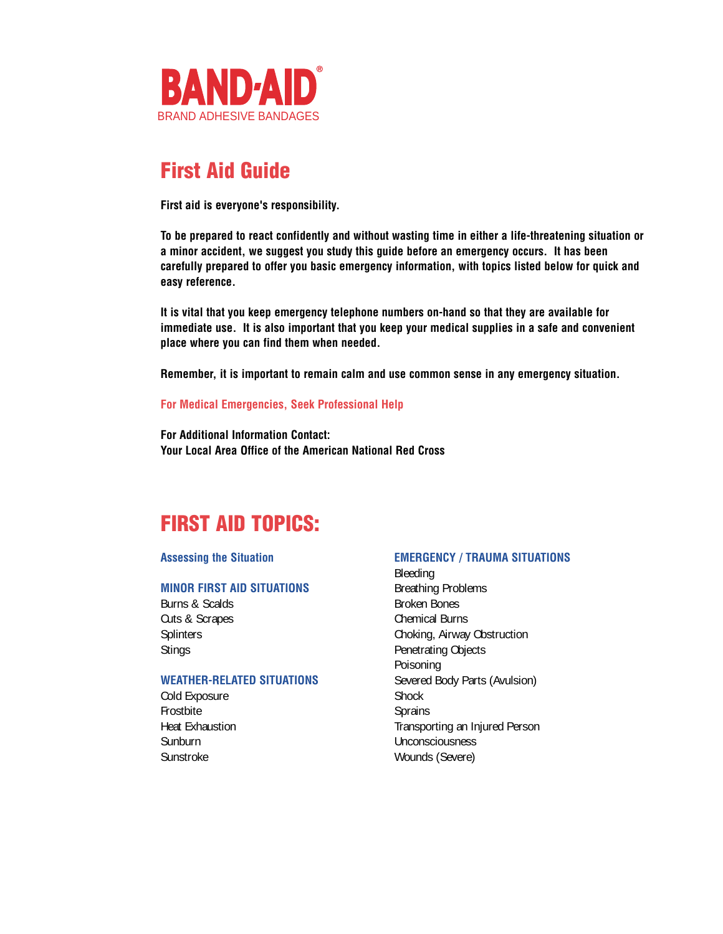

# **First Aid Guide**

**First aid is everyone's responsibility.** 

**To be prepared to react confidently and without wasting time in either a life-threatening situation or a minor accident, we suggest you study this guide before an emergency occurs. It has been carefully prepared to offer you basic emergency information, with topics listed below for quick and easy reference.**

**It is vital that you keep emergency telephone numbers on-hand so that they are available for immediate use. It is also important that you keep your medical supplies in a safe and convenient place where you can find them when needed.**

**Remember, it is important to remain calm and use common sense in any emergency situation.**

#### **For Medical Emergencies, Seek Professional Help**

**For Additional Information Contact: Your Local Area Office of the American National Red Cross**

# **FIRST AID TOPICS:**

#### **MINOR FIRST AID SITUATIONS** Breathing Problems

Burns & Scalds Burns & Scalds Cuts & Scrapes Cuts & Scrapes Chemical Burns

#### **WEATHER-RELATED SITUATIONS** Severed Body Parts (Avulsion)

Cold Exposure Shock Frostbite Sprains Sunburn Unconsciousness Sunstroke Wounds (Severe)

#### **Assessing the Situation EMERGENCY / TRAUMA SITUATIONS**

Bleeding Splinters Choking, Airway Obstruction Stings **Penetrating Objects** Poisoning Heat Exhaustion Transporting an Injured Person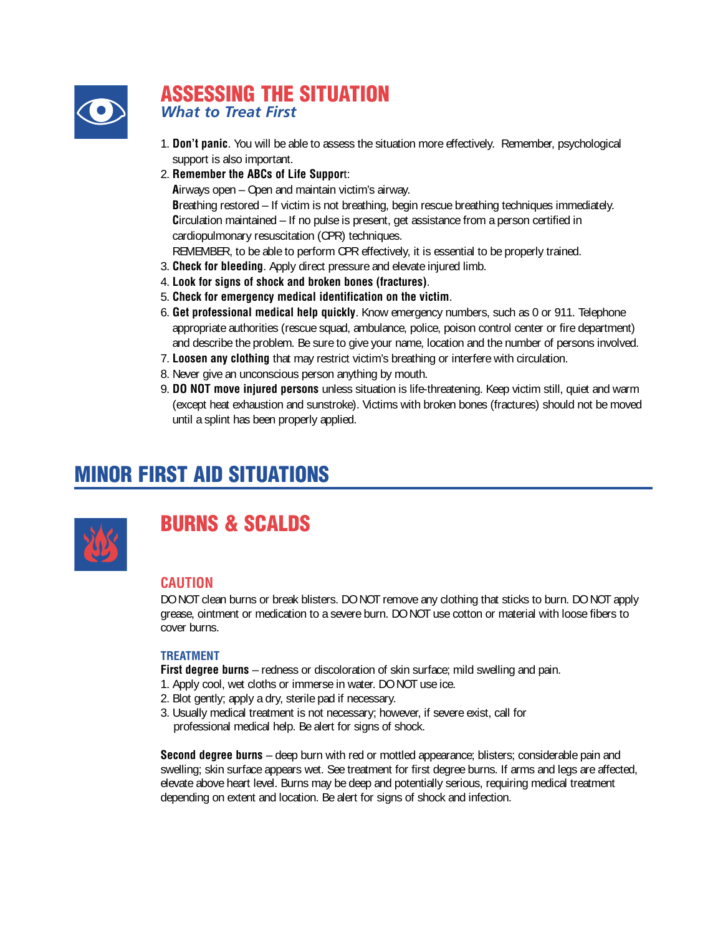

### **ASSESSING THE SITUATION** *What to Treat First*

- 1. **Don't panic**. You will be able to assess the situation more effectively. Remember, psychological support is also important.
- 2. **Remember the ABCs of Life Suppor**t:

**A**irways open – Open and maintain victim's airway.

**B**reathing restored – If victim is not breathing, begin rescue breathing techniques immediately. **C**irculation maintained – If no pulse is present, get assistance from a person certified in cardiopulmonary resuscitation (CPR) techniques.

- REMEMBER, to be able to perform CPR effectively, it is essential to be properly trained.
- 3. **Check for bleeding**. Apply direct pressure and elevate injured limb.
- 4. **Look for signs of shock and broken bones (fractures)**.
- 5. **Check for emergency medical identification on the victim**.
- 6. **Get professional medical help quickly**. Know emergency numbers, such as 0 or 911. Telephone appropriate authorities (rescue squad, ambulance, police, poison control center or fire department) and describe the problem. Be sure to give your name, location and the number of persons involved.
- 7. **Loosen any clothing** that may restrict victim's breathing or interfere with circulation.
- 8. Never give an unconscious person anything by mouth.
- 9. **DO NOT move injured persons** unless situation is life-threatening. Keep victim still, quiet and warm (except heat exhaustion and sunstroke). Victims with broken bones (fractures) should not be moved until a splint has been properly applied.

# **MINOR FIRST AID SITUATIONS**



### **BURNS & SCALDS**

#### **CAUTION**

DO NOT clean burns or break blisters. DO NOT remove any clothing that sticks to burn. DO NOT apply grease, ointment or medication to a severe burn. DO NOT use cotton or material with loose fibers to cover burns.

#### **TREATMENT**

**First degree burns** – redness or discoloration of skin surface; mild swelling and pain.

- 1. Apply cool, wet cloths or immerse in water. DO NOT use ice.
- 2. Blot gently; apply a dry, sterile pad if necessary.
- 3. Usually medical treatment is not necessary; however, if severe exist, call for professional medical help. Be alert for signs of shock.

**Second degree burns** – deep burn with red or mottled appearance; blisters; considerable pain and swelling; skin surface appears wet. See treatment for first degree burns. If arms and legs are affected, elevate above heart level. Burns may be deep and potentially serious, requiring medical treatment depending on extent and location. Be alert for signs of shock and infection.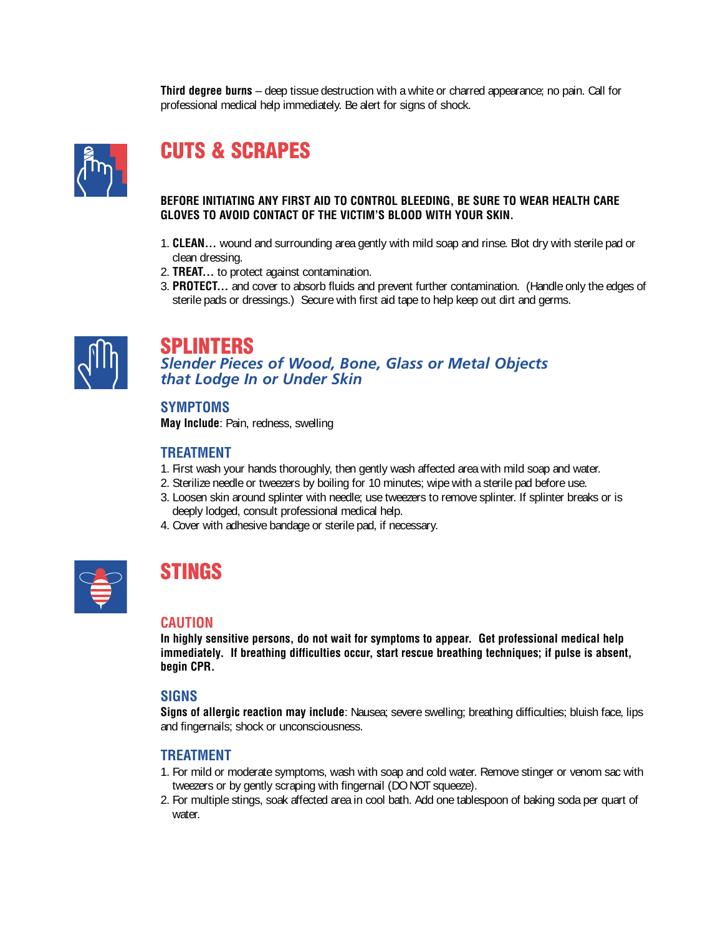**Third degree burns** – deep tissue destruction with a white or charred appearance; no pain. Call for professional medical help immediately. Be alert for signs of shock.



# **CUTS & SCRAPES**

#### **BEFORE INITIATING ANY FIRST AID TO CONTROL BLEEDING, BE SURE TO WEAR HEALTH CARE GLOVES TO AVOID CONTACT OF THE VICTIM'S BLOOD WITH YOUR SKIN.**

- 1. **CLEAN...** wound and surrounding area gently with mild soap and rinse. Blot dry with sterile pad or clean dressing.
- 2. **TREAT...** to protect against contamination.
- 3. **PROTECT...** and cover to absorb fluids and prevent further contamination. (Handle only the edges of sterile pads or dressings.) Secure with first aid tape to help keep out dirt and germs.



### **SPLINTERS**

*Slender Pieces of Wood, Bone, Glass or Metal Objects that Lodge In or Under Skin*

#### **SYMPTOMS**

**May Include**: Pain, redness, swelling

#### **TREATMENT**

- 1. First wash your hands thoroughly, then gently wash affected area with mild soap and water.
- 2. Sterilize needle or tweezers by boiling for 10 minutes; wipe with a sterile pad before use.
- 3. Loosen skin around splinter with needle; use tweezers to remove splinter. If splinter breaks or is deeply lodged, consult professional medical help.
- 4. Cover with adhesive bandage or sterile pad, if necessary.

### **STINGS**

#### **CAUTION**

**In highly sensitive persons, do not wait for symptoms to appear. Get professional medical help immediately. If breathing difficulties occur, start rescue breathing techniques; if pulse is absent, begin CPR.**

#### **SIGNS**

**Signs of allergic reaction may include**: Nausea; severe swelling; breathing difficulties; bluish face, lips and fingernails; shock or unconsciousness.

- 1. For mild or moderate symptoms, wash with soap and cold water. Remove stinger or venom sac with tweezers or by gently scraping with fingernail (DO NOT squeeze).
- 2. For multiple stings, soak affected area in cool bath. Add one tablespoon of baking soda per quart of water.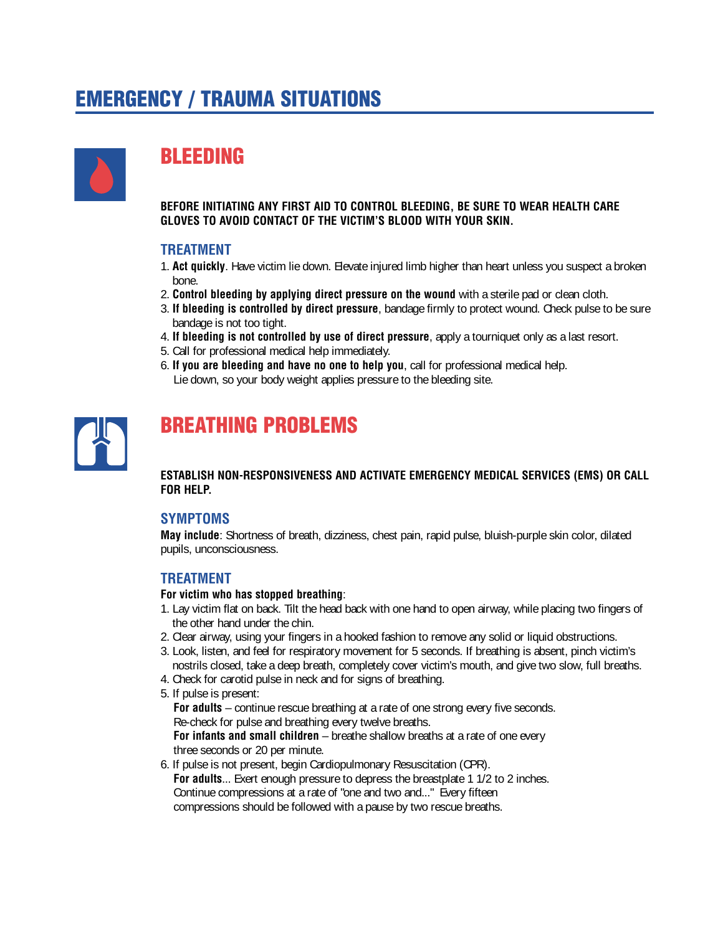# **EMERGENCY / TRAUMA SITUATIONS**



# **BLEEDING**

**BEFORE INITIATING ANY FIRST AID TO CONTROL BLEEDING, BE SURE TO WEAR HEALTH CARE GLOVES TO AVOID CONTACT OF THE VICTIM'S BLOOD WITH YOUR SKIN.**

#### **TREATMENT**

- 1. **Act quickly**. Have victim lie down. Elevate injured limb higher than heart unless you suspect a broken bone.
- 2. **Control bleeding by applying direct pressure on the wound** with a sterile pad or clean cloth.
- 3. **If bleeding is controlled by direct pressure**, bandage firmly to protect wound. Check pulse to be sure bandage is not too tight.
- 4. **If bleeding is not controlled by use of direct pressure**, apply a tourniquet only as a last resort.
- 5. Call for professional medical help immediately.
- 6. **If you are bleeding and have no one to help you**, call for professional medical help. Lie down, so your body weight applies pressure to the bleeding site.



### **BREATHING PROBLEMS**

**ESTABLISH NON-RESPONSIVENESS AND ACTIVATE EMERGENCY MEDICAL SERVICES (EMS) OR CALL FOR HELP.**

#### **SYMPTOMS**

**May include**: Shortness of breath, dizziness, chest pain, rapid pulse, bluish-purple skin color, dilated pupils, unconsciousness.

#### **TREATMENT**

#### **For victim who has stopped breathing**:

- 1. Lay victim flat on back. Tilt the head back with one hand to open airway, while placing two fingers of the other hand under the chin.
- 2. Clear airway, using your fingers in a hooked fashion to remove any solid or liquid obstructions.
- 3. Look, listen, and feel for respiratory movement for 5 seconds. If breathing is absent, pinch victim's nostrils closed, take a deep breath, completely cover victim's mouth, and give two slow, full breaths.
- 4. Check for carotid pulse in neck and for signs of breathing.
- 5. If pulse is present:

**For adults** – continue rescue breathing at a rate of one strong every five seconds. Re-check for pulse and breathing every twelve breaths.

**For infants and small children** – breathe shallow breaths at a rate of one every three seconds or 20 per minute.

6. If pulse is not present, begin Cardiopulmonary Resuscitation (CPR). For adults... Exert enough pressure to depress the breastplate 1 1/2 to 2 inches. Continue compressions at a rate of "one and two and..." Every fifteen compressions should be followed with a pause by two rescue breaths.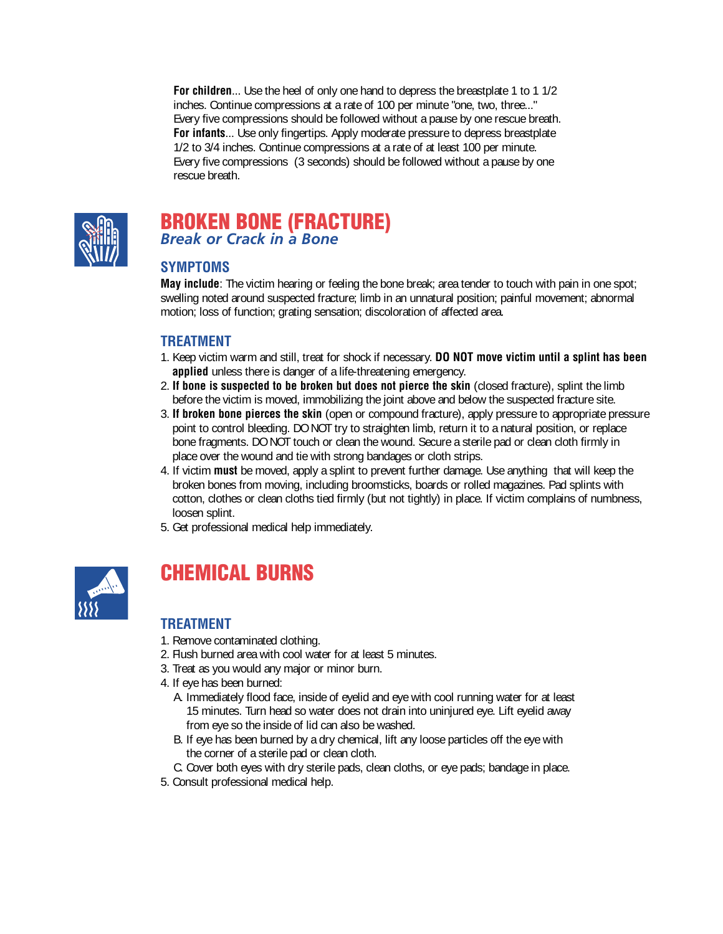**For children**... Use the heel of only one hand to depress the breastplate 1 to 1 1/2 inches. Continue compressions at a rate of 100 per minute "one, two, three..." Every five compressions should be followed without a pause by one rescue breath. **For infants**... Use only fingertips. Apply moderate pressure to depress breastplate 1/2 to 3/4 inches. Continue compressions at a rate of at least 100 per minute. Every five compressions (3 seconds) should be followed without a pause by one rescue breath.



### **BROKEN BONE (FRACTURE)**  *Break or Crack in a Bone*

### **SYMPTOMS**

**May include**: The victim hearing or feeling the bone break; area tender to touch with pain in one spot; swelling noted around suspected fracture; limb in an unnatural position; painful movement; abnormal motion; loss of function; grating sensation; discoloration of affected area.

### **TREATMENT**

- 1. Keep victim warm and still, treat for shock if necessary. **DO NOT move victim until a splint has been applied** unless there is danger of a life-threatening emergency.
- 2. **If bone is suspected to be broken but does not pierce the skin** (closed fracture), splint the limb before the victim is moved, immobilizing the joint above and below the suspected fracture site.
- 3. **If broken bone pierces the skin** (open or compound fracture), apply pressure to appropriate pressure point to control bleeding. DO NOT try to straighten limb, return it to a natural position, or replace bone fragments. DO NOT touch or clean the wound. Secure a sterile pad or clean cloth firmly in place over the wound and tie with strong bandages or cloth strips.
- 4. If victim **must** be moved, apply a splint to prevent further damage. Use anything that will keep the broken bones from moving, including broomsticks, boards or rolled magazines. Pad splints with cotton, clothes or clean cloths tied firmly (but not tightly) in place. If victim complains of numbness, loosen splint.
- 5. Get professional medical help immediately.



# **CHEMICAL BURNS**

- 1. Remove contaminated clothing.
- 2. Flush burned area with cool water for at least 5 minutes.
- 3. Treat as you would any major or minor burn.
- 4. If eye has been burned:
	- A. Immediately flood face, inside of eyelid and eye with cool running water for at least 15 minutes. Turn head so water does not drain into uninjured eye. Lift eyelid away from eye so the inside of lid can also be washed.
	- B. If eye has been burned by a dry chemical, lift any loose particles off the eye with the corner of a sterile pad or clean cloth.
	- C. Cover both eyes with dry sterile pads, clean cloths, or eye pads; bandage in place.
- 5. Consult professional medical help.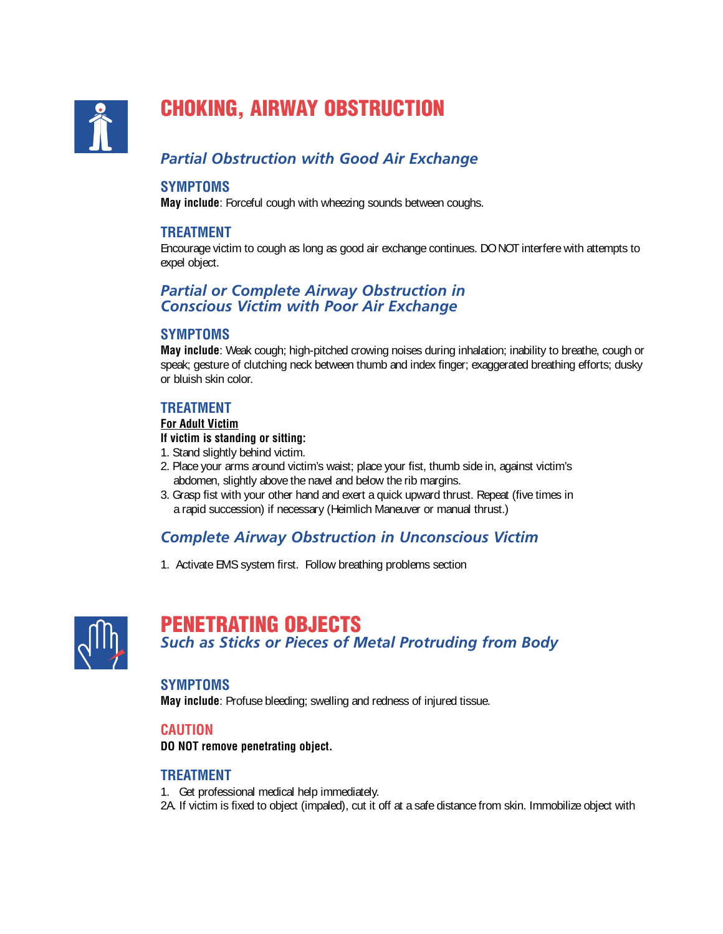

# **CHOKING, AIRWAY OBSTRUCTION**

### *Partial Obstruction with Good Air Exchange*

#### **SYMPTOMS**

**May include**: Forceful cough with wheezing sounds between coughs.

#### **TREATMENT**

Encourage victim to cough as long as good air exchange continues. DO NOT interfere with attempts to expel object.

#### *Partial or Complete Airway Obstruction in Conscious Victim with Poor Air Exchange*

#### **SYMPTOMS**

**May include**: Weak cough; high-pitched crowing noises during inhalation; inability to breathe, cough or speak; gesture of clutching neck between thumb and index finger; exaggerated breathing efforts; dusky or bluish skin color.

#### **TREATMENT**

#### **For Adult Victim**

#### **If victim is standing or sitting:**

- 1. Stand slightly behind victim.
- 2. Place your arms around victim's waist; place your fist, thumb side in, against victim's abdomen, slightly above the navel and below the rib margins.
- 3. Grasp fist with your other hand and exert a quick upward thrust. Repeat (five times in a rapid succession) if necessary (Heimlich Maneuver or manual thrust.)

### *Complete Airway Obstruction in Unconscious Victim*

1. Activate EMS system first. Follow breathing problems section



### **PENETRATING OBJECTS** *Such as Sticks or Pieces of Metal Protruding from Body*

#### **SYMPTOMS**

**May include**: Profuse bleeding; swelling and redness of injured tissue.

#### **CAUTION**

**DO NOT remove penetrating object.**

#### **TREATMENT**

1. Get professional medical help immediately.

2A. If victim is fixed to object (impaled), cut it off at a safe distance from skin. Immobilize object with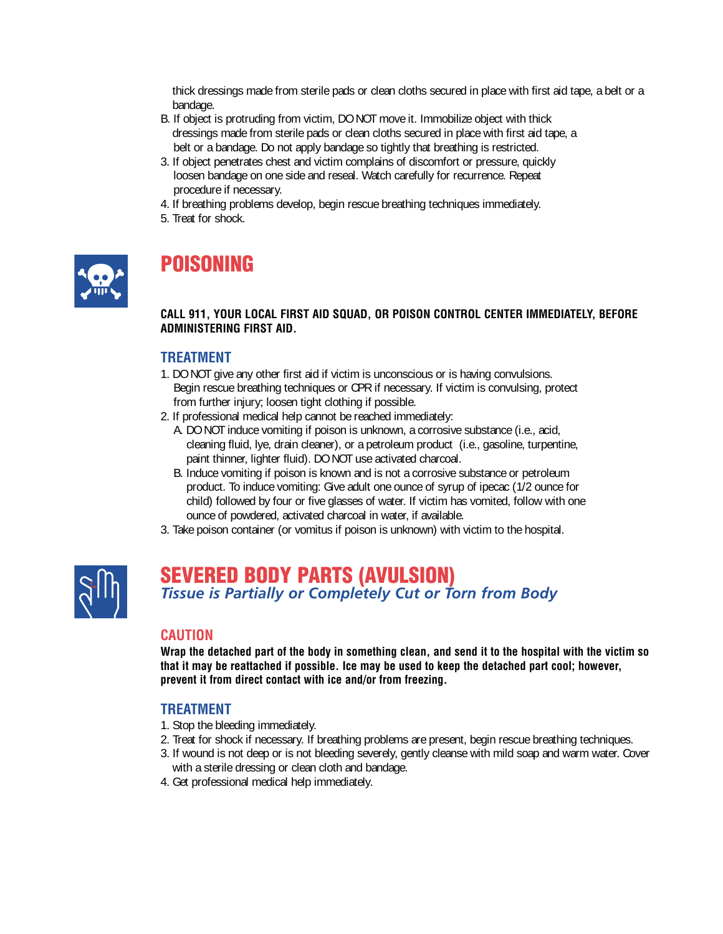thick dressings made from sterile pads or clean cloths secured in place with first aid tape, a belt or a bandage.

- B. If object is protruding from victim, DO NOT move it. Immobilize object with thick dressings made from sterile pads or clean cloths secured in place with first aid tape, a belt or a bandage. Do not apply bandage so tightly that breathing is restricted.
- 3. If object penetrates chest and victim complains of discomfort or pressure, quickly loosen bandage on one side and reseal. Watch carefully for recurrence. Repeat procedure if necessary.
- 4. If breathing problems develop, begin rescue breathing techniques immediately.
- 5. Treat for shock.



# **POISONING**

#### **CALL 911, YOUR LOCAL FIRST AID SQUAD, OR POISON CONTROL CENTER IMMEDIATELY, BEFORE ADMINISTERING FIRST AID.**

#### **TREATMENT**

- 1. DO NOT give any other first aid if victim is unconscious or is having convulsions. Begin rescue breathing techniques or CPR if necessary. If victim is convulsing, protect from further injury; loosen tight clothing if possible.
- 2. If professional medical help cannot be reached immediately:
	- A. DO NOT induce vomiting if poison is unknown, a corrosive substance (i.e., acid, cleaning fluid, lye, drain cleaner), or a petroleum product (i.e., gasoline, turpentine, paint thinner, lighter fluid). DO NOT use activated charcoal.
	- B. Induce vomiting if poison is known and is not a corrosive substance or petroleum product. To induce vomiting: Give adult one ounce of syrup of ipecac (1/2 ounce for child) followed by four or five glasses of water. If victim has vomited, follow with one ounce of powdered, activated charcoal in water, if available.
- 3. Take poison container (or vomitus if poison is unknown) with victim to the hospital.



# **SEVERED BODY PARTS (AVULSION)**

*Tissue is Partially or Completely Cut or Torn from Body*

#### **CAUTION**

**Wrap the detached part of the body in something clean, and send it to the hospital with the victim so that it may be reattached if possible. Ice may be used to keep the detached part cool; however, prevent it from direct contact with ice and/or from freezing.**

- 1. Stop the bleeding immediately.
- 2. Treat for shock if necessary. If breathing problems are present, begin rescue breathing techniques.
- 3. If wound is not deep or is not bleeding severely, gently cleanse with mild soap and warm water. Cover with a sterile dressing or clean cloth and bandage.
- 4. Get professional medical help immediately.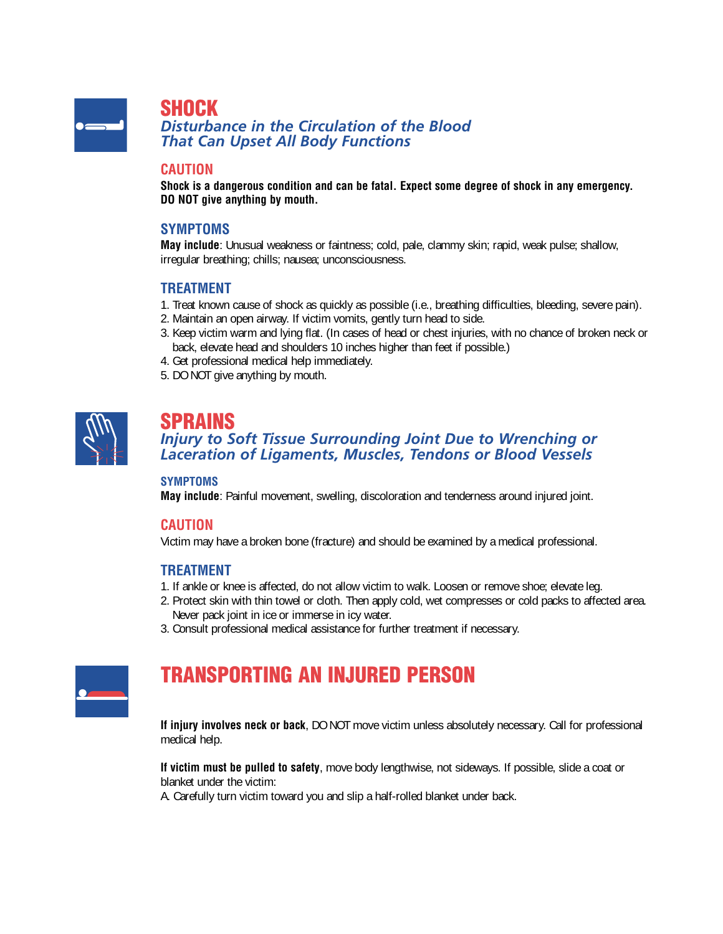

**SHOCK**

*Disturbance in the Circulation of the Blood That Can Upset All Body Functions*

#### **CAUTION**

**Shock is a dangerous condition and can be fatal. Expect some degree of shock in any emergency. DO NOT give anything by mouth.**

#### **SYMPTOMS**

**May include**: Unusual weakness or faintness; cold, pale, clammy skin; rapid, weak pulse; shallow, irregular breathing; chills; nausea; unconsciousness.

#### **TREATMENT**

- 1. Treat known cause of shock as quickly as possible (i.e., breathing difficulties, bleeding, severe pain).
- 2. Maintain an open airway. If victim vomits, gently turn head to side.
- 3. Keep victim warm and lying flat. (In cases of head or chest injuries, with no chance of broken neck or back, elevate head and shoulders 10 inches higher than feet if possible.)
- 4. Get professional medical help immediately.
- 5. DO NOT give anything by mouth.



### **SPRAINS**

#### *Injury to Soft Tissue Surrounding Joint Due to Wrenching or Laceration of Ligaments, Muscles, Tendons or Blood Vessels*

#### **SYMPTOMS**

**May include**: Painful movement, swelling, discoloration and tenderness around injured joint.

#### **CAUTION**

Victim may have a broken bone (fracture) and should be examined by a medical professional.

#### **TREATMENT**

- 1. If ankle or knee is affected, do not allow victim to walk. Loosen or remove shoe; elevate leg.
- 2. Protect skin with thin towel or cloth. Then apply cold, wet compresses or cold packs to affected area. Never pack joint in ice or immerse in icy water.
- 3. Consult professional medical assistance for further treatment if necessary.



# **TRANSPORTING AN INJURED PERSON**

**If injury involves neck or back**, DO NOT move victim unless absolutely necessary. Call for professional medical help.

**If victim must be pulled to safety**, move body lengthwise, not sideways. If possible, slide a coat or blanket under the victim:

A. Carefully turn victim toward you and slip a half-rolled blanket under back.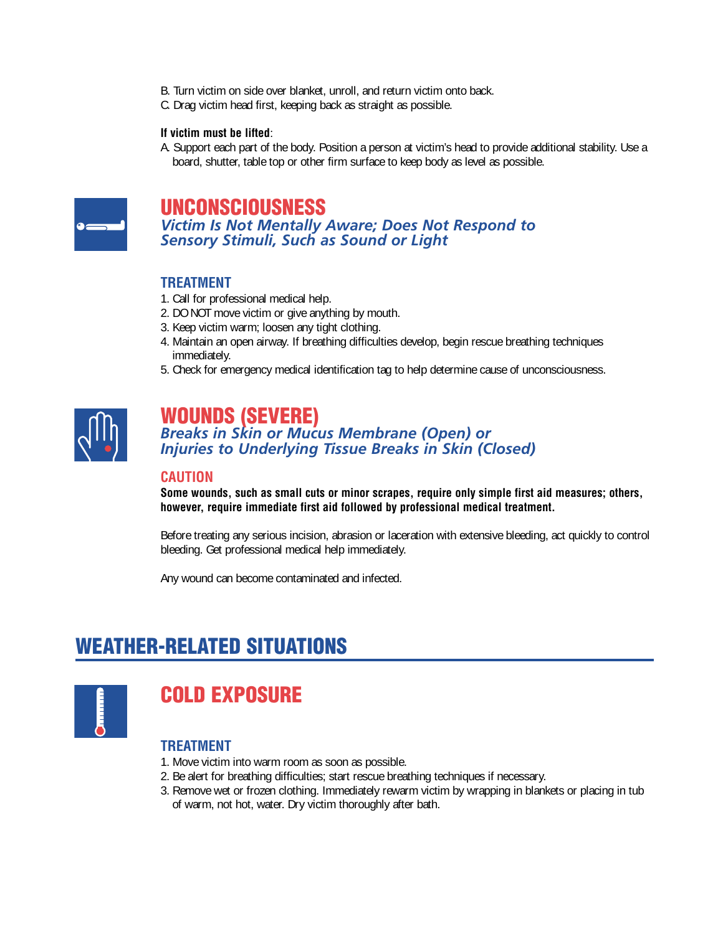- B. Turn victim on side over blanket, unroll, and return victim onto back.
- C. Drag victim head first, keeping back as straight as possible.

#### **If victim must be lifted**:

A. Support each part of the body. Position a person at victim's head to provide additional stability. Use a board, shutter, table top or other firm surface to keep body as level as possible.



### **UNCONSCIOUSNESS**

*Victim Is Not Mentally Aware; Does Not Respond to Sensory Stimuli, Such as Sound or Light*

#### **TREATMENT**

- 1. Call for professional medical help.
- 2. DO NOT move victim or give anything by mouth.
- 3. Keep victim warm; loosen any tight clothing.
- 4. Maintain an open airway. If breathing difficulties develop, begin rescue breathing techniques immediately.
- 5. Check for emergency medical identification tag to help determine cause of unconsciousness.



### **WOUNDS (SEVERE)**

*Breaks in Skin or Mucus Membrane (Open) or Injuries to Underlying Tissue Breaks in Skin (Closed)*

#### **CAUTION**

**Some wounds, such as small cuts or minor scrapes, require only simple first aid measures; others, however, require immediate first aid followed by professional medical treatment.**

Before treating any serious incision, abrasion or laceration with extensive bleeding, act quickly to control bleeding. Get professional medical help immediately.

Any wound can become contaminated and infected.

# **WEATHER-RELATED SITUATIONS**



# **COLD EXPOSURE**

- 1. Move victim into warm room as soon as possible.
- 2. Be alert for breathing difficulties; start rescue breathing techniques if necessary.
- 3. Remove wet or frozen clothing. Immediately rewarm victim by wrapping in blankets or placing in tub of warm, not hot, water. Dry victim thoroughly after bath.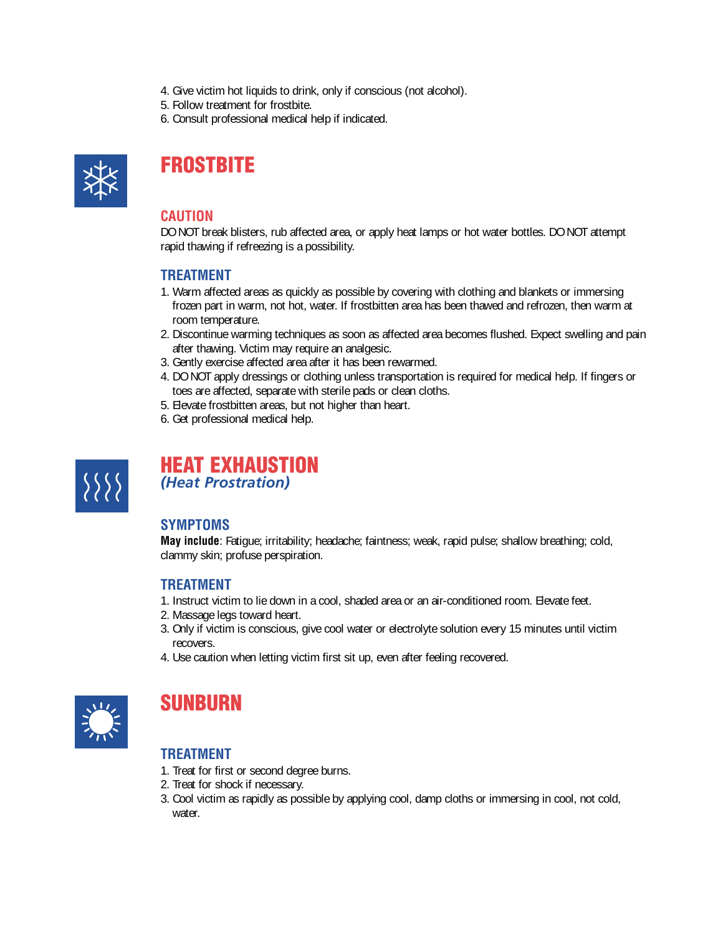- 4. Give victim hot liquids to drink, only if conscious (not alcohol).
- 5. Follow treatment for frostbite.
- 6. Consult professional medical help if indicated.



# **FROSTBITE**

#### **CAUTION**

DO NOT break blisters, rub affected area, or apply heat lamps or hot water bottles. DO NOT attempt rapid thawing if refreezing is a possibility.

#### **TREATMENT**

- 1. Warm affected areas as quickly as possible by covering with clothing and blankets or immersing frozen part in warm, not hot, water. If frostbitten area has been thawed and refrozen, then warm at room temperature.
- 2. Discontinue warming techniques as soon as affected area becomes flushed. Expect swelling and pain after thawing. Victim may require an analgesic.
- 3. Gently exercise affected area after it has been rewarmed.
- 4. DO NOT apply dressings or clothing unless transportation is required for medical help. If fingers or toes are affected, separate with sterile pads or clean cloths.
- 5. Elevate frostbitten areas, but not higher than heart.
- 6. Get professional medical help.



### **HEAT EXHAUSTION** *(Heat Prostration)*

### **SYMPTOMS**

**May include**: Fatigue; irritability; headache; faintness; weak, rapid pulse; shallow breathing; cold, clammy skin; profuse perspiration.

#### **TREATMENT**

- 1. Instruct victim to lie down in a cool, shaded area or an air-conditioned room. Elevate feet.
- 2. Massage legs toward heart.
- 3. Only if victim is conscious, give cool water or electrolyte solution every 15 minutes until victim recovers.
- 4. Use caution when letting victim first sit up, even after feeling recovered.



### **SUNBURN**

- 1. Treat for first or second degree burns.
- 2. Treat for shock if necessary.
- 3. Cool victim as rapidly as possible by applying cool, damp cloths or immersing in cool, not cold, water.